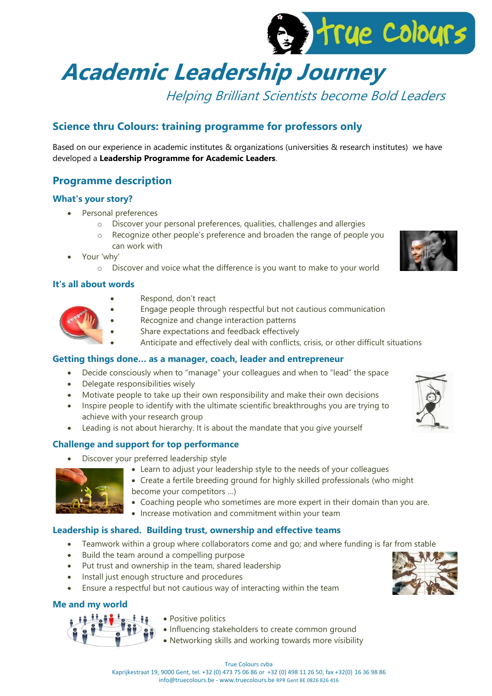

# **Academic Leadership Journey**

Helping Brilliant Scientists become Bold Leaders

# **Science thru Colours: training programme for professors only**

Based on our experience in academic institutes & organizations (universities & research institutes) we have developed a **Leadership Programme for Academic Leaders**.

# **Programme description**

# **What's your story?**

- Personal preferences
	- o Discover your personal preferences, qualities, challenges and allergies
	- o Recognize other people's preference and broaden the range of people you can work with
- Your 'why'
	- o Discover and voice what the difference is you want to make to your world

# **It's all about words**

- Respond, don't react
	- Engage people through respectful but not cautious communication
	- Recognize and change interaction patterns
	- Share expectations and feedback effectively
		- Anticipate and effectively deal with conflicts, crisis, or other difficult situations

# **Getting things done… as a manager, coach, leader and entrepreneur**

- Decide consciously when to "manage" your colleagues and when to "lead" the space
- Delegate responsibilities wisely
- Motivate people to take up their own responsibility and make their own decisions
- Inspire people to identify with the ultimate scientific breakthroughs you are trying to achieve with your research group
- Leading is not about hierarchy. It is about the mandate that you give yourself

# **Challenge and support for top performance**

- Discover your preferred leadership style
	- Learn to adjust your leadership style to the needs of your colleagues



- Create a fertile breeding ground for highly skilled professionals (who might
- become your competitors …)
- Coaching people who sometimes are more expert in their domain than you are.
- Increase motivation and commitment within your team

# **Leadership is shared. Building trust, ownership and effective teams**

- Teamwork within a group where collaborators come and go; and where funding is far from stable
- Build the team around a compelling purpose
- Put trust and ownership in the team, shared leadership
- Install just enough structure and procedures
- Ensure a respectful but not cautious way of interacting within the team

# **Me and my world**

ŮĹ, ů

- Positive politics
- Influencing stakeholders to create common ground
- Networking skills and working towards more visibility







#### True Colours cvba Kaprijkestraat 19, 9000 Gent, tel. +32 (0) 473 75 06 86 or +32 (0) 498 11 26 50, fax +32(0) 16 36 98 86 info@truecolours.be - www.truecolours.be RPR Gent BE 0826 826 416